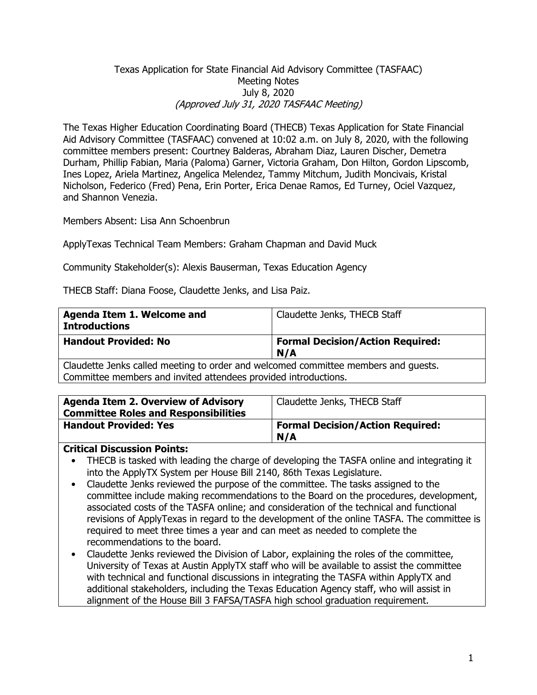#### Texas Application for State Financial Aid Advisory Committee (TASFAAC) Meeting Notes July 8, 2020 (Approved July 31, 2020 TASFAAC Meeting)

The Texas Higher Education Coordinating Board (THECB) Texas Application for State Financial Aid Advisory Committee (TASFAAC) convened at 10:02 a.m. on July 8, 2020, with the following committee members present: Courtney Balderas, Abraham Diaz, Lauren Discher, Demetra Durham, Phillip Fabian, Maria (Paloma) Garner, Victoria Graham, Don Hilton, Gordon Lipscomb, Ines Lopez, Ariela Martinez, Angelica Melendez, Tammy Mitchum, Judith Moncivais, Kristal Nicholson, Federico (Fred) Pena, Erin Porter, Erica Denae Ramos, Ed Turney, Ociel Vazquez, and Shannon Venezia.

Members Absent: Lisa Ann Schoenbrun

ApplyTexas Technical Team Members: Graham Chapman and David Muck

Community Stakeholder(s): Alexis Bauserman, Texas Education Agency

THECB Staff: Diana Foose, Claudette Jenks, and Lisa Paiz.

| Agenda Item 1. Welcome and<br><b>Introductions</b>                                                                                                    | Claudette Jenks, THECB Staff                   |
|-------------------------------------------------------------------------------------------------------------------------------------------------------|------------------------------------------------|
| <b>Handout Provided: No</b>                                                                                                                           | <b>Formal Decision/Action Required:</b><br>N/A |
| Claudette Jenks called meeting to order and welcomed committee members and guests.<br>Committee members and invited attendees provided introductions. |                                                |

| <b>Agenda Item 2. Overview of Advisory</b><br><b>Committee Roles and Responsibilities</b> | Claudette Jenks, THECB Staff                   |
|-------------------------------------------------------------------------------------------|------------------------------------------------|
| <b>Handout Provided: Yes</b>                                                              | <b>Formal Decision/Action Required:</b><br>N/A |

#### **Critical Discussion Points:**

- THECB is tasked with leading the charge of developing the TASFA online and integrating it into the ApplyTX System per House Bill 2140, 86th Texas Legislature.
- Claudette Jenks reviewed the purpose of the committee. The tasks assigned to the committee include making recommendations to the Board on the procedures, development, associated costs of the TASFA online; and consideration of the technical and functional revisions of ApplyTexas in regard to the development of the online TASFA. The committee is required to meet three times a year and can meet as needed to complete the recommendations to the board.
- Claudette Jenks reviewed the Division of Labor, explaining the roles of the committee, University of Texas at Austin ApplyTX staff who will be available to assist the committee with technical and functional discussions in integrating the TASFA within ApplyTX and additional stakeholders, including the Texas Education Agency staff, who will assist in alignment of the House Bill 3 FAFSA/TASFA high school graduation requirement.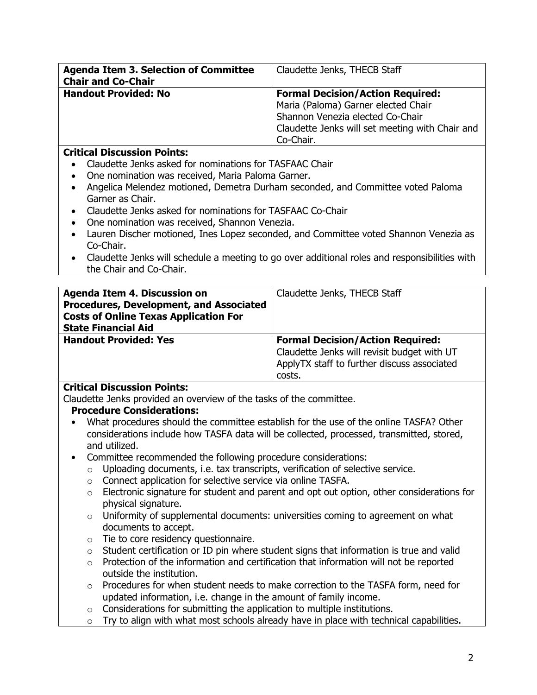| <b>Agenda Item 3. Selection of Committee</b> | Claudette Jenks, THECB Staff                    |
|----------------------------------------------|-------------------------------------------------|
| <b>Chair and Co-Chair</b>                    |                                                 |
| <b>Handout Provided: No</b>                  | <b>Formal Decision/Action Required:</b>         |
|                                              | Maria (Paloma) Garner elected Chair             |
|                                              | Shannon Venezia elected Co-Chair                |
|                                              | Claudette Jenks will set meeting with Chair and |
|                                              | Co-Chair.                                       |

## **Critical Discussion Points:**

- Claudette Jenks asked for nominations for TASFAAC Chair
- One nomination was received, Maria Paloma Garner.
- Angelica Melendez motioned, Demetra Durham seconded, and Committee voted Paloma Garner as Chair.
- Claudette Jenks asked for nominations for TASFAAC Co-Chair
- One nomination was received, Shannon Venezia.
- Lauren Discher motioned, Ines Lopez seconded, and Committee voted Shannon Venezia as Co-Chair.
- Claudette Jenks will schedule a meeting to go over additional roles and responsibilities with the Chair and Co-Chair.

| <b>Agenda Item 4. Discussion on</b><br>Procedures, Development, and Associated<br><b>Costs of Online Texas Application For</b> | Claudette Jenks, THECB Staff                                                                                                                    |
|--------------------------------------------------------------------------------------------------------------------------------|-------------------------------------------------------------------------------------------------------------------------------------------------|
| <b>State Financial Aid</b>                                                                                                     |                                                                                                                                                 |
| <b>Handout Provided: Yes</b>                                                                                                   | <b>Formal Decision/Action Required:</b><br>Claudette Jenks will revisit budget with UT<br>ApplyTX staff to further discuss associated<br>costs. |

### **Critical Discussion Points:**

Claudette Jenks provided an overview of the tasks of the committee.

### **Procedure Considerations:**

- What procedures should the committee establish for the use of the online TASFA? Other considerations include how TASFA data will be collected, processed, transmitted, stored, and utilized.
- Committee recommended the following procedure considerations:
	- o Uploading documents, i.e. tax transcripts, verification of selective service.
	- o Connect application for selective service via online TASFA.
	- o Electronic signature for student and parent and opt out option, other considerations for physical signature.
	- $\circ$  Uniformity of supplemental documents: universities coming to agreement on what documents to accept.
	- o Tie to core residency questionnaire.
	- o Student certification or ID pin where student signs that information is true and valid
	- $\circ$  Protection of the information and certification that information will not be reported outside the institution.
	- $\circ$  Procedures for when student needs to make correction to the TASFA form, need for updated information, i.e. change in the amount of family income.
	- o Considerations for submitting the application to multiple institutions.
	- $\circ$  Try to align with what most schools already have in place with technical capabilities.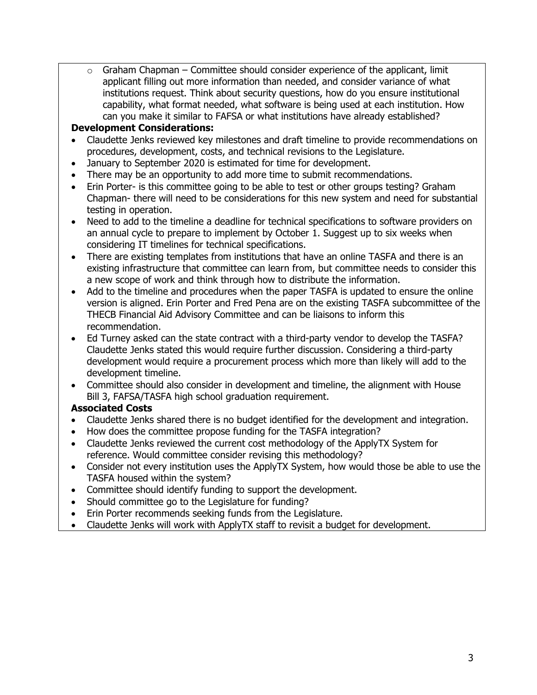$\circ$  Graham Chapman – Committee should consider experience of the applicant, limit applicant filling out more information than needed, and consider variance of what institutions request. Think about security questions, how do you ensure institutional capability, what format needed, what software is being used at each institution. How can you make it similar to FAFSA or what institutions have already established?

### **Development Considerations:**

- Claudette Jenks reviewed key milestones and draft timeline to provide recommendations on procedures, development, costs, and technical revisions to the Legislature.
- January to September 2020 is estimated for time for development.
- There may be an opportunity to add more time to submit recommendations.
- Erin Porter- is this committee going to be able to test or other groups testing? Graham Chapman- there will need to be considerations for this new system and need for substantial testing in operation.
- Need to add to the timeline a deadline for technical specifications to software providers on an annual cycle to prepare to implement by October 1. Suggest up to six weeks when considering IT timelines for technical specifications.
- There are existing templates from institutions that have an online TASFA and there is an existing infrastructure that committee can learn from, but committee needs to consider this a new scope of work and think through how to distribute the information.
- Add to the timeline and procedures when the paper TASFA is updated to ensure the online version is aligned. Erin Porter and Fred Pena are on the existing TASFA subcommittee of the THECB Financial Aid Advisory Committee and can be liaisons to inform this recommendation.
- Ed Turney asked can the state contract with a third-party vendor to develop the TASFA? Claudette Jenks stated this would require further discussion. Considering a third-party development would require a procurement process which more than likely will add to the development timeline.
- Committee should also consider in development and timeline, the alignment with House Bill 3, FAFSA/TASFA high school graduation requirement.

# **Associated Costs**

- Claudette Jenks shared there is no budget identified for the development and integration.
- How does the committee propose funding for the TASFA integration?
- Claudette Jenks reviewed the current cost methodology of the ApplyTX System for reference. Would committee consider revising this methodology?
- Consider not every institution uses the ApplyTX System, how would those be able to use the TASFA housed within the system?
- Committee should identify funding to support the development.
- Should committee go to the Legislature for funding?
- Erin Porter recommends seeking funds from the Legislature.
- Claudette Jenks will work with ApplyTX staff to revisit a budget for development.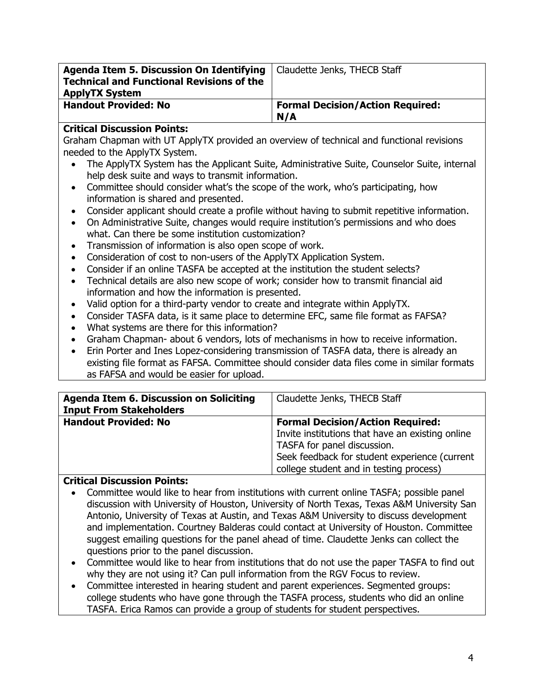| Agenda Item 5. Discussion On Identifying<br><b>Technical and Functional Revisions of the</b><br><b>ApplyTX System</b> | Claudette Jenks, THECB Staff                   |
|-----------------------------------------------------------------------------------------------------------------------|------------------------------------------------|
| <b>Handout Provided: No</b>                                                                                           | <b>Formal Decision/Action Required:</b><br>N/A |

## **Critical Discussion Points:**

Graham Chapman with UT ApplyTX provided an overview of technical and functional revisions needed to the ApplyTX System.

- The ApplyTX System has the Applicant Suite, Administrative Suite, Counselor Suite, internal help desk suite and ways to transmit information.
- Committee should consider what's the scope of the work, who's participating, how information is shared and presented.
- Consider applicant should create a profile without having to submit repetitive information.
- On Administrative Suite, changes would require institution's permissions and who does what. Can there be some institution customization?
- Transmission of information is also open scope of work.
- Consideration of cost to non-users of the ApplyTX Application System.
- Consider if an online TASFA be accepted at the institution the student selects?
- Technical details are also new scope of work; consider how to transmit financial aid information and how the information is presented.
- Valid option for a third-party vendor to create and integrate within ApplyTX.
- Consider TASFA data, is it same place to determine EFC, same file format as FAFSA?
- What systems are there for this information?
- Graham Chapman- about 6 vendors, lots of mechanisms in how to receive information.
- Erin Porter and Ines Lopez-considering transmission of TASFA data, there is already an existing file format as FAFSA. Committee should consider data files come in similar formats as FAFSA and would be easier for upload.

| <b>Agenda Item 6. Discussion on Soliciting</b> | Claudette Jenks, THECB Staff                     |
|------------------------------------------------|--------------------------------------------------|
| <b>Input From Stakeholders</b>                 |                                                  |
| <b>Handout Provided: No</b>                    | <b>Formal Decision/Action Required:</b>          |
|                                                | Invite institutions that have an existing online |
|                                                | TASFA for panel discussion.                      |
|                                                | Seek feedback for student experience (current    |
|                                                | college student and in testing process)          |

# **Critical Discussion Points:**

- Committee would like to hear from institutions with current online TASFA; possible panel discussion with University of Houston, University of North Texas, Texas A&M University San Antonio, University of Texas at Austin, and Texas A&M University to discuss development and implementation. Courtney Balderas could contact at University of Houston. Committee suggest emailing questions for the panel ahead of time. Claudette Jenks can collect the questions prior to the panel discussion.
- Committee would like to hear from institutions that do not use the paper TASFA to find out why they are not using it? Can pull information from the RGV Focus to review.
- Committee interested in hearing student and parent experiences. Segmented groups: college students who have gone through the TASFA process, students who did an online TASFA. Erica Ramos can provide a group of students for student perspectives.